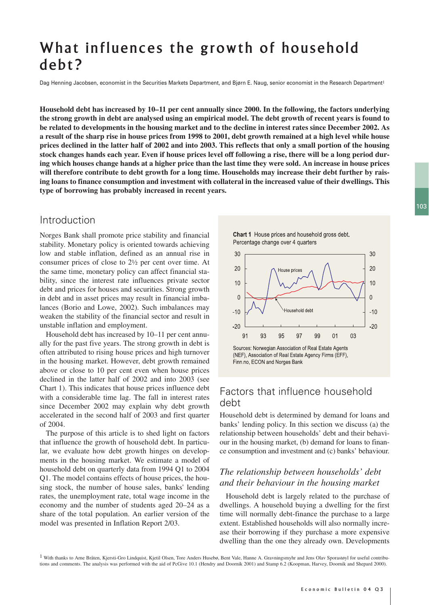# What influences the growth of household debt?

Dag Henning Jacobsen, economist in the Securities Markets Department, and Bjørn E. Naug, senior economist in the Research Department<sup>1</sup>

**Household debt has increased by 10–11 per cent annually since 2000. In the following, the factors underlying the strong growth in debt are analysed using an empirical model. The debt growth of recent years is found to be related to developments in the housing market and to the decline in interest rates since December 2002. As a result of the sharp rise in house prices from 1998 to 2001, debt growth remained at a high level while house prices declined in the latter half of 2002 and into 2003. This reflects that only a small portion of the housing stock changes hands each year. Even if house prices level off following a rise, there will be a long period during which houses change hands at a higher price than the last time they were sold. An increase in house prices will therefore contribute to debt growth for a long time. Households may increase their debt further by raising loans to finance consumption and investment with collateral in the increased value of their dwellings. This type of borrowing has probably increased in recent years.**

## Introduction

Norges Bank shall promote price stability and financial stability. Monetary policy is oriented towards achieving low and stable inflation, defined as an annual rise in consumer prices of close to 2½ per cent over time. At the same time, monetary policy can affect financial stability, since the interest rate influences private sector debt and prices for houses and securities. Strong growth in debt and in asset prices may result in financial imbalances (Borio and Lowe, 2002). Such imbalances may weaken the stability of the financial sector and result in unstable inflation and employment.

Household debt has increased by 10–11 per cent annually for the past five years. The strong growth in debt is often attributed to rising house prices and high turnover in the housing market. However, debt growth remained above or close to 10 per cent even when house prices declined in the latter half of 2002 and into 2003 (see Chart 1). This indicates that house prices influence debt with a considerable time lag. The fall in interest rates since December 2002 may explain why debt growth accelerated in the second half of 2003 and first quarter of 2004.

The purpose of this article is to shed light on factors that influence the growth of household debt. In particular, we evaluate how debt growth hinges on developments in the housing market. We estimate a model of household debt on quarterly data from 1994 Q1 to 2004 Q1. The model contains effects of house prices, the housing stock, the number of house sales, banks' lending rates, the unemployment rate, total wage income in the economy and the number of students aged 20–24 as a share of the total population. An earlier version of the model was presented in Inflation Report 2/03.

Chart 1 House prices and household gross debt. Percentage change over 4 quarters



Finn no, ECON and Norges Bank

# Factors that influence household debt

Household debt is determined by demand for loans and banks' lending policy. In this section we discuss (a) the relationship between households' debt and their behaviour in the housing market, (b) demand for loans to finance consumption and investment and (c) banks' behaviour.

## *The relationship between households' debt and their behaviour in the housing market*

Household debt is largely related to the purchase of dwellings. A household buying a dwelling for the first time will normally debt-finance the purchase to a large extent. Established households will also normally increase their borrowing if they purchase a more expensive dwelling than the one they already own. Developments

1 With thanks to Arne Bråten, Kjersti-Gro Lindquist, Kjetil Olsen, Tore Anders Husebø, Bent Vale, Hanne A. Gravningsmyhr and Jens Olav Sporastøyl for useful contributions and comments. The analysis was performed with the aid of PcGive 10.1 (Hendry and Doornik 2001) and Stamp 6.2 (Koopman, Harvey, Doornik and Shepard 2000).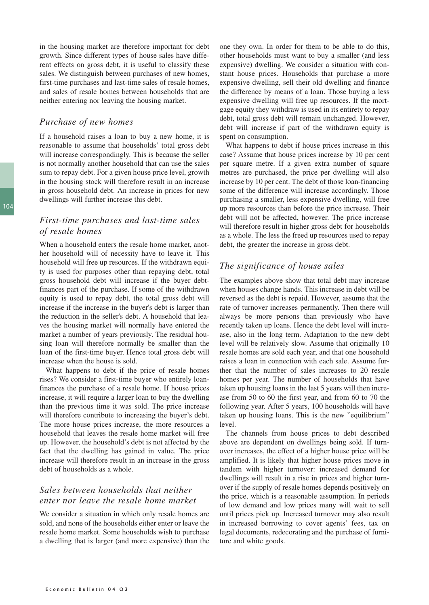in the housing market are therefore important for debt growth. Since different types of house sales have different effects on gross debt, it is useful to classify these sales. We distinguish between purchases of new homes, first-time purchases and last-time sales of resale homes, and sales of resale homes between households that are neither entering nor leaving the housing market.

#### *Purchase of new homes*

If a household raises a loan to buy a new home, it is reasonable to assume that households' total gross debt will increase correspondingly. This is because the seller is not normally another household that can use the sales sum to repay debt. For a given house price level, growth in the housing stock will therefore result in an increase in gross household debt. An increase in prices for new dwellings will further increase this debt.

### *First-time purchases and last-time sales of resale homes*

When a household enters the resale home market, another household will of necessity have to leave it. This household will free up resources. If the withdrawn equity is used for purposes other than repaying debt, total gross household debt will increase if the buyer debtfinances part of the purchase. If some of the withdrawn equity is used to repay debt, the total gross debt will increase if the increase in the buyer's debt is larger than the reduction in the seller's debt. A household that leaves the housing market will normally have entered the market a number of years previously. The residual housing loan will therefore normally be smaller than the loan of the first-time buyer. Hence total gross debt will increase when the house is sold.

What happens to debt if the price of resale homes rises? We consider a first-time buyer who entirely loanfinances the purchase of a resale home. If house prices increase, it will require a larger loan to buy the dwelling than the previous time it was sold. The price increase will therefore contribute to increasing the buyer's debt. The more house prices increase, the more resources a household that leaves the resale home market will free up. However, the household's debt is not affected by the fact that the dwelling has gained in value. The price increase will therefore result in an increase in the gross debt of households as a whole.

#### *Sales between households that neither enter nor leave the resale home market*

We consider a situation in which only resale homes are sold, and none of the households either enter or leave the resale home market. Some households wish to purchase a dwelling that is larger (and more expensive) than the one they own. In order for them to be able to do this, other households must want to buy a smaller (and less expensive) dwelling. We consider a situation with constant house prices. Households that purchase a more expensive dwelling, sell their old dwelling and finance the difference by means of a loan. Those buying a less expensive dwelling will free up resources. If the mortgage equity they withdraw is used in its entirety to repay debt, total gross debt will remain unchanged. However, debt will increase if part of the withdrawn equity is spent on consumption.

What happens to debt if house prices increase in this case? Assume that house prices increase by 10 per cent per square metre. If a given extra number of square metres are purchased, the price per dwelling will also increase by 10 per cent. The debt of those loan-financing some of the difference will increase accordingly. Those purchasing a smaller, less expensive dwelling, will free up more resources than before the price increase. Their debt will not be affected, however. The price increase will therefore result in higher gross debt for households as a whole. The less the freed up resources used to repay debt, the greater the increase in gross debt.

#### *The significance of house sales*

The examples above show that total debt may increase when houses change hands. This increase in debt will be reversed as the debt is repaid. However, assume that the rate of turnover increases permanently. Then there will always be more persons than previously who have recently taken up loans. Hence the debt level will increase, also in the long term. Adaptation to the new debt level will be relatively slow. Assume that originally 10 resale homes are sold each year, and that one household raises a loan in connection with each sale. Assume further that the number of sales increases to 20 resale homes per year. The number of households that have taken up housing loans in the last 5 years will then increase from 50 to 60 the first year, and from 60 to 70 the following year. After 5 years, 100 households will have taken up housing loans. This is the new "equilibrium" level.

The channels from house prices to debt described above are dependent on dwellings being sold. If turnover increases, the effect of a higher house price will be amplified. It is likely that higher house prices move in tandem with higher turnover: increased demand for dwellings will result in a rise in prices and higher turnover if the supply of resale homes depends positively on the price, which is a reasonable assumption. In periods of low demand and low prices many will wait to sell until prices pick up. Increased turnover may also result in increased borrowing to cover agents' fees, tax on legal documents, redecorating and the purchase of furniture and white goods.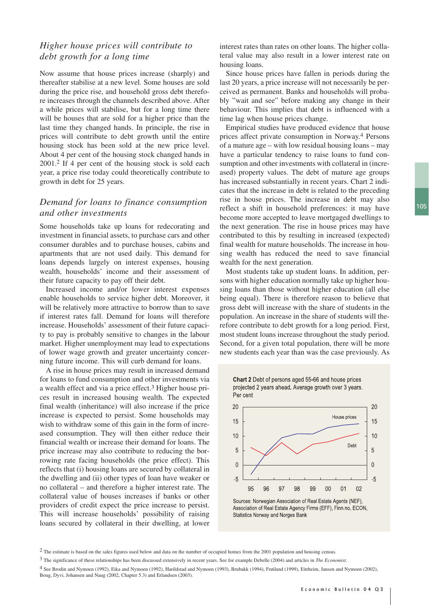## *Higher house prices will contribute to debt growth for a long time*

Now assume that house prices increase (sharply) and thereafter stabilise at a new level. Some houses are sold during the price rise, and household gross debt therefore increases through the channels described above. After a while prices will stabilise, but for a long time there will be houses that are sold for a higher price than the last time they changed hands. In principle, the rise in prices will contribute to debt growth until the entire housing stock has been sold at the new price level. About 4 per cent of the housing stock changed hands in 2001.2 If 4 per cent of the housing stock is sold each year, a price rise today could theoretically contribute to growth in debt for 25 years.

#### *Demand for loans to finance consumption and other investments*

Some households take up loans for redecorating and investment in financial assets, to purchase cars and other consumer durables and to purchase houses, cabins and apartments that are not used daily. This demand for loans depends largely on interest expenses, housing wealth, households' income and their assessment of their future capacity to pay off their debt.

Increased income and/or lower interest expenses enable households to service higher debt. Moreover, it will be relatively more attractive to borrow than to save if interest rates fall. Demand for loans will therefore increase. Households' assessment of their future capacity to pay is probably sensitive to changes in the labour market. Higher unemployment may lead to expectations of lower wage growth and greater uncertainty concerning future income. This will curb demand for loans.

A rise in house prices may result in increased demand for loans to fund consumption and other investments via a wealth effect and via a price effect.3 Higher house prices result in increased housing wealth. The expected final wealth (inheritance) will also increase if the price increase is expected to persist. Some households may wish to withdraw some of this gain in the form of increased consumption. They will then either reduce their financial wealth or increase their demand for loans. The price increase may also contribute to reducing the borrowing rate facing households (the price effect). This reflects that (i) housing loans are secured by collateral in the dwelling and (ii) other types of loan have weaker or no collateral – and therefore a higher interest rate. The collateral value of houses increases if banks or other providers of credit expect the price increase to persist. This will increase households' possibility of raising loans secured by collateral in their dwelling, at lower interest rates than rates on other loans. The higher collateral value may also result in a lower interest rate on housing loans.

Since house prices have fallen in periods during the last 20 years, a price increase will not necessarily be perceived as permanent. Banks and households will probably "wait and see" before making any change in their behaviour. This implies that debt is influenced with a time lag when house prices change.

Empirical studies have produced evidence that house prices affect private consumption in Norway.4 Persons of a mature age – with low residual housing loans – may have a particular tendency to raise loans to fund consumption and other investments with collateral in (increased) property values. The debt of mature age groups has increased substantially in recent years. Chart 2 indicates that the increase in debt is related to the preceding rise in house prices. The increase in debt may also reflect a shift in household preferences: it may have become more accepted to leave mortgaged dwellings to the next generation. The rise in house prices may have contributed to this by resulting in increased (expected) final wealth for mature households. The increase in housing wealth has reduced the need to save financial wealth for the next generation.

Most students take up student loans. In addition, persons with higher education normally take up higher housing loans than those without higher education (all else being equal). There is therefore reason to believe that gross debt will increase with the share of students in the population. An increase in the share of students will therefore contribute to debt growth for a long period. First, most student loans increase throughout the study period. Second, for a given total population, there will be more new students each year than was the case previously. As





Association of Real Estate Agency Firms (EFF), Finn no, ECON, **Statistics Norway and Norges Bank** 

<sup>&</sup>lt;sup>2</sup> The estimate is based on the sales figures used below and data on the number of occupied homes from the 2001 population and housing census.

<sup>3</sup> The significance of these relationships has been discussed extensively in recent years. See for example Debelle (2004) and articles in *The Economist*.

<sup>4</sup> See Brodin and Nymoen (1992), Eika and Nymoen (1992), Harildstad and Nymoen (1993), Brubakk (1994), Frøiland (1999), Eitrheim, Jansen and Nymoen (2002), Boug, Dyvi, Johansen and Naug (2002, Chapter 5.3) and Erlandsen (2003).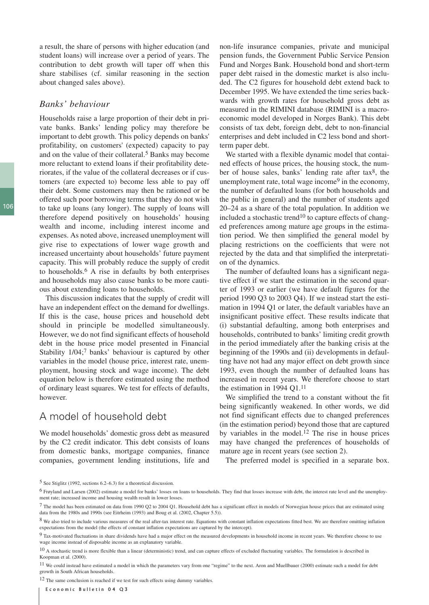a result, the share of persons with higher education (and student loans) will increase over a period of years. The contribution to debt growth will taper off when this share stabilises (cf. similar reasoning in the section about changed sales above).

#### *Banks' behaviour*

Households raise a large proportion of their debt in private banks. Banks' lending policy may therefore be important to debt growth. This policy depends on banks' profitability, on customers' (expected) capacity to pay and on the value of their collateral.5 Banks may become more reluctant to extend loans if their profitability deteriorates, if the value of the collateral decreases or if customers (are expected to) become less able to pay off their debt. Some customers may then be rationed or be offered such poor borrowing terms that they do not wish to take up loans (any longer). The supply of loans will therefore depend positively on households' housing wealth and income, including interest income and expenses. As noted above, increased unemployment will give rise to expectations of lower wage growth and increased uncertainty about households' future payment capacity. This will probably reduce the supply of credit to households.6 A rise in defaults by both enterprises and households may also cause banks to be more cautious about extending loans to households.

This discussion indicates that the supply of credit will have an independent effect on the demand for dwellings. If this is the case, house prices and household debt should in principle be modelled simultaneously. However, we do not find significant effects of household debt in the house price model presented in Financial Stability 1/04;7 banks' behaviour is captured by other variables in the model (house price, interest rate, unemployment, housing stock and wage income). The debt equation below is therefore estimated using the method of ordinary least squares. We test for effects of defaults, however.

## A model of household debt

We model households' domestic gross debt as measured by the C2 credit indicator. This debt consists of loans from domestic banks, mortgage companies, finance companies, government lending institutions, life and non-life insurance companies, private and municipal pension funds, the Government Public Service Pension Fund and Norges Bank. Household bond and short-term paper debt raised in the domestic market is also included. The C2 figures for household debt extend back to December 1995. We have extended the time series backwards with growth rates for household gross debt as measured in the RIMINI database (RIMINI is a macroeconomic model developed in Norges Bank). This debt consists of tax debt, foreign debt, debt to non-financial enterprises and debt included in C2 less bond and shortterm paper debt.

We started with a flexible dynamic model that contained effects of house prices, the housing stock, the number of house sales, banks' lending rate after tax8, the unemployment rate, total wage income<sup>9</sup> in the economy, the number of defaulted loans (for both households and the public in general) and the number of students aged 20–24 as a share of the total population. In addition we included a stochastic trend<sup>10</sup> to capture effects of changed preferences among mature age groups in the estimation period. We then simplified the general model by placing restrictions on the coefficients that were not rejected by the data and that simplified the interpretation of the dynamics.

The number of defaulted loans has a significant negative effect if we start the estimation in the second quarter of 1993 or earlier (we have default figures for the period 1990 Q3 to 2003 Q4). If we instead start the estimation in 1994 Q1 or later, the default variables have an insignificant positive effect. These results indicate that (i) substantial defaulting, among both enterprises and households, contributed to banks' limiting credit growth in the period immediately after the banking crisis at the beginning of the 1990s and (ii) developments in defaulting have not had any major effect on debt growth since 1993, even though the number of defaulted loans has increased in recent years. We therefore choose to start the estimation in 1994 Q1.11

We simplified the trend to a constant without the fit being significantly weakened. In other words, we did not find significant effects due to changed preferences (in the estimation period) beyond those that are captured by variables in the model.12 The rise in house prices may have changed the preferences of households of mature age in recent years (see section 2).

The preferred model is specified in a separate box.

<sup>12</sup> The same conclusion is reached if we test for such effects using dummy variables.

Economic Bulletin 04 Q3

<sup>5</sup> See Stiglitz (1992, sections 6.2–6.3) for a theoretical discussion.

<sup>6</sup> Frøyland and Larsen (2002) estimate a model for banks' losses on loans to households. They find that losses increase with debt, the interest rate level and the unemployment rate; increased income and housing wealth result in lower losses.

<sup>7</sup> The model has been estimated on data from 1990 Q2 to 2004 Q1. Household debt has a significant effect in models of Norwegian house prices that are estimated using data from the 1980s and 1990s (see Eitrheim (1993) and Boug et al. (2002, Chapter 5.5)).

<sup>8</sup> We also tried to include various measures of the real after-tax interest rate. Equations with constant inflation expectations fitted best. We are therefore omitting inflation expectations from the model (the effects of constant inflation expectations are captured by the intercept).

<sup>9</sup> Tax-motivated fluctuations in share dividends have had a major effect on the measured developments in household income in recent years. We therefore choose to use wage income instead of disposable income as an explanatory variable.

 $10$  A stochastic trend is more flexible than a linear (deterministic) trend, and can capture effects of excluded fluctuating variables. The formulation is described in Koopman et al. (2000).

<sup>11</sup> We could instead have estimated a model in which the parameters vary from one "regime" to the next. Aron and Muellbauer (2000) estimate such a model for debt growth in South African households.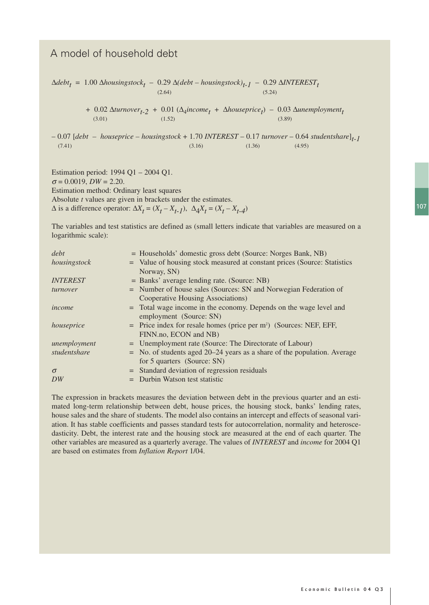# A model of household debt

$$
\Delta debt_t = 1.00 \Delta housingstock_t - 0.29 \Delta (debt - housingstock)_{t-1} - 0.29 \Delta INTEREST_t
$$
\n
$$
^{(2.64)}_{(2.64)}
$$
\n(5.24)

+ 0.02 ∆*turnover*<sub>t-2</sub> + 0.01 ( $\Delta_4$ *income*<sub>t</sub> +  $\Delta$ *houseprice*<sub>t</sub>) – 0.03 ∆*unemployment*<sub>t</sub>  $(3.01)$   $(1.52)$   $(3.89)$ 

– 0.07 [*debt – houseprice – housingstock* + 1.70 *INTEREST* – 0.17 *turnover* – 0.64 *studentshare*]*t-1*  $(7.41)$  (3.16) (1.36) (4.95)

Estimation period: 1994 Q1 – 2004 Q1.  $\sigma = 0.0019$ ,  $DW = 2.20$ . Estimation method: Ordinary least squares Absolute *t* values are given in brackets under the estimates.  $\Delta$  is a difference operator:  $\Delta X_t = (X_t - X_{t-1}), \ \Delta A_t X_t = (X_t - X_{t-4})$ 

The variables and test statistics are defined as (small letters indicate that variables are measured on a logarithmic scale):

| debt            |     | = Households' domestic gross debt (Source: Norges Bank, NB)                      |
|-----------------|-----|----------------------------------------------------------------------------------|
| housingstock    |     | = Value of housing stock measured at constant prices (Source: Statistics         |
|                 |     | Norway, SN)                                                                      |
| <b>INTEREST</b> |     | = Banks' average lending rate. (Source: NB)                                      |
| turnover        |     | = Number of house sales (Sources: SN and Norwegian Federation of                 |
|                 |     | Cooperative Housing Associations)                                                |
| income          |     | = Total wage income in the economy. Depends on the wage level and                |
|                 |     | employment (Source: SN)                                                          |
| houseprice      |     | $=$ Price index for resale homes (price per m <sup>2</sup> ) (Sources: NEF, EFF, |
|                 |     | FINN.no, ECON and NB)                                                            |
| unemployment    |     | = Unemployment rate (Source: The Directorate of Labour)                          |
| studentshare    |     | $=$ No. of students aged 20–24 years as a share of the population. Average       |
|                 |     | for 5 quarters (Source: SN)                                                      |
| $\sigma$        |     | = Standard deviation of regression residuals                                     |
| DW              | $=$ | Durbin Watson test statistic                                                     |

The expression in brackets measures the deviation between debt in the previous quarter and an estimated long-term relationship between debt, house prices, the housing stock, banks' lending rates, house sales and the share of students. The model also contains an intercept and effects of seasonal variation. It has stable coefficients and passes standard tests for autocorrelation, normality and heteroscedasticity. Debt, the interest rate and the housing stock are measured at the end of each quarter. The other variables are measured as a quarterly average. The values of *INTEREST* and *income* for 2004 Q1 are based on estimates from *Inflation Report* 1/04.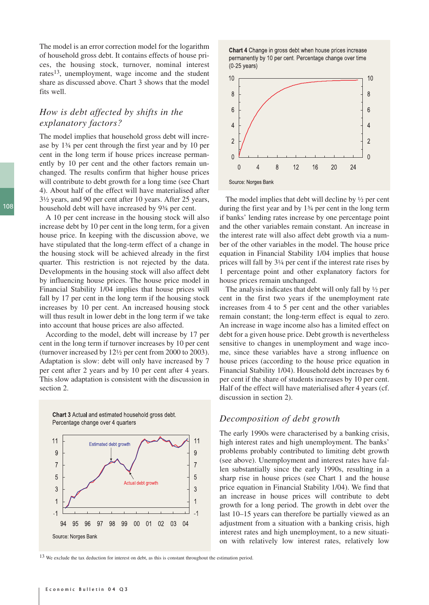The model is an error correction model for the logarithm of household gross debt. It contains effects of house prices, the housing stock, turnover, nominal interest rates13, unemployment, wage income and the student share as discussed above. Chart 3 shows that the model fits well.

## *How is debt affected by shifts in the explanatory factors?*

The model implies that household gross debt will increase by 1¾ per cent through the first year and by 10 per cent in the long term if house prices increase permanently by 10 per cent and the other factors remain unchanged. The results confirm that higher house prices will contribute to debt growth for a long time (see Chart 4). About half of the effect will have materialised after 3½ years, and 90 per cent after 10 years. After 25 years, household debt will have increased by 9¾ per cent.

A 10 per cent increase in the housing stock will also increase debt by 10 per cent in the long term, for a given house price. In keeping with the discussion above, we have stipulated that the long-term effect of a change in the housing stock will be achieved already in the first quarter. This restriction is not rejected by the data. Developments in the housing stock will also affect debt by influencing house prices. The house price model in Financial Stability 1/04 implies that house prices will fall by 17 per cent in the long term if the housing stock increases by 10 per cent. An increased housing stock will thus result in lower debt in the long term if we take into account that house prices are also affected.

According to the model, debt will increase by 17 per cent in the long term if turnover increases by 10 per cent (turnover increased by 12½ per cent from 2000 to 2003). Adaptation is slow: debt will only have increased by 7 per cent after 2 years and by 10 per cent after 4 years. This slow adaptation is consistent with the discussion in section 2.



Chart 4 Change in gross debt when house prices increase permanently by 10 per cent. Percentage change over time  $(0-25 \text{ years})$ 



The model implies that debt will decline by ½ per cent during the first year and by 1¾ per cent in the long term if banks' lending rates increase by one percentage point and the other variables remain constant. An increase in the interest rate will also affect debt growth via a number of the other variables in the model. The house price equation in Financial Stability 1/04 implies that house prices will fall by 3¼ per cent if the interest rate rises by 1 percentage point and other explanatory factors for house prices remain unchanged.

The analysis indicates that debt will only fall by ½ per cent in the first two years if the unemployment rate increases from 4 to 5 per cent and the other variables remain constant; the long-term effect is equal to zero. An increase in wage income also has a limited effect on debt for a given house price. Debt growth is nevertheless sensitive to changes in unemployment and wage income, since these variables have a strong influence on house prices (according to the house price equation in Financial Stability 1/04). Household debt increases by 6 per cent if the share of students increases by 10 per cent. Half of the effect will have materialised after 4 years (cf. discussion in section 2).

#### *Decomposition of debt growth*

The early 1990s were characterised by a banking crisis, high interest rates and high unemployment. The banks' problems probably contributed to limiting debt growth (see above). Unemployment and interest rates have fallen substantially since the early 1990s, resulting in a sharp rise in house prices (see Chart 1 and the house price equation in Financial Stability 1/04). We find that an increase in house prices will contribute to debt growth for a long period. The growth in debt over the last 10–15 years can therefore be partially viewed as an adjustment from a situation with a banking crisis, high interest rates and high unemployment, to a new situation with relatively low interest rates, relatively low

13 We exclude the tax deduction for interest on debt, as this is constant throughout the estimation period.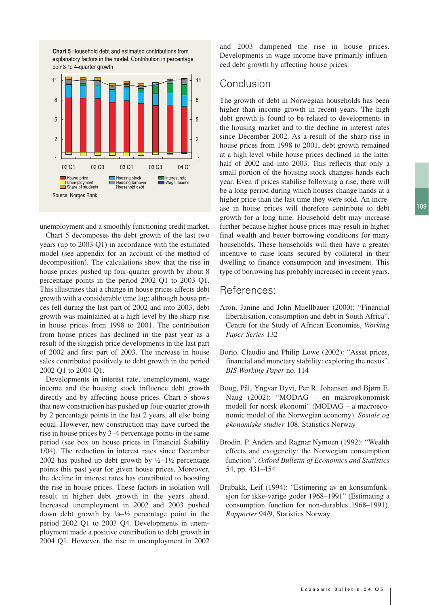109



unemployment and a smoothly functioning credit market.

Chart 5 decomposes the debt growth of the last two years (up to 2003 Q1) in accordance with the estimated model (see appendix for an account of the method of decomposition). The calculations show that the rise in house prices pushed up four-quarter growth by about 8 percentage points in the period 2002 Q1 to 2003 Q1. This illustrates that a change in house prices affects debt growth with a considerable time lag: although house prices fell during the last part of 2002 and into 2003, debt growth was maintained at a high level by the sharp rise in house prices from 1998 to 2001. The contribution from house prices has declined in the past year as a result of the sluggish price developments in the last part of 2002 and first part of 2003. The increase in house sales contributed positively to debt growth in the period 2002 Q1 to 2004 Q1.

Developments in interest rate, unemployment, wage income and the housing stock influence debt growth directly and by affecting house prices. Chart 5 shows that new construction has pushed up four-quarter growth by 2 percentage points in the last 2 years, all else being equal. However, new construction may have curbed the rise in house prices by 3–4 percentage points in the same period (see box on house prices in Financial Stability 1/04). The reduction in interest rates since December 2002 has pushed up debt growth by  $\frac{1}{2}$ –1½ percentage points this past year for given house prices. Moreover, the decline in interest rates has contributed to boosting the rise in house prices. These factors in isolation will result in higher debt growth in the years ahead. Increased unemployment in 2002 and 2003 pushed down debt growth by  $\frac{1}{4} - \frac{1}{2}$  percentage point in the period 2002 Q1 to 2003 Q4. Developments in unemployment made a positive contribution to debt growth in 2004 Q1. However, the rise in unemployment in 2002

and 2003 dampened the rise in house prices. Developments in wage income have primarily influenced debt growth by affecting house prices.

# Conclusion

The growth of debt in Norwegian households has been higher than income growth in recent years. The high debt growth is found to be related to developments in the housing market and to the decline in interest rates since December 2002. As a result of the sharp rise in house prices from 1998 to 2001, debt growth remained at a high level while house prices declined in the latter half of 2002 and into 2003. This reflects that only a small portion of the housing stock changes hands each year. Even if prices stabilise following a rise, there will be a long period during which houses change hands at a higher price than the last time they were sold. An increase in house prices will therefore contribute to debt growth for a long time. Household debt may increase further because higher house prices may result in higher final wealth and better borrowing conditions for many households. These households will then have a greater incentive to raise loans secured by collateral in their dwelling to finance consumption and investment. This type of borrowing has probably increased in recent years.

#### References:

- Aron, Janine and John Muellbauer (2000): "Financial liberalisation, consumption and debt in South Africa". Centre for the Study of African Economies, *Working Paper Series* 132
- Borio, Claudio and Philip Lowe (2002): "Asset prices, financial and monetary stability: exploring the nexus". *BIS Working Paper* no. 114
- Boug, Pål, Yngvar Dyvi, Per R. Johansen and Bjørn E. Naug (2002): "MODAG – en makroøkonomisk modell for norsk økonomi" (MODAG – a macroeconomic model of the Norwegian economy). *Sosiale og økonomiske studier* 108, Statistics Norway
- Brodin. P. Anders and Ragnar Nymoen (1992): "Wealth effects and exogeneity: the Norwegian consumption function". *Oxford Bulletin of Economics and Statistics* 54, pp. 431–454
- Brubakk, Leif (1994): "Estimering av en konsumfunksjon for ikke-varige goder 1968–1991" (Estimating a consumption function for non-durables 1968–1991). *Rapporter* 94/9, Statistics Norway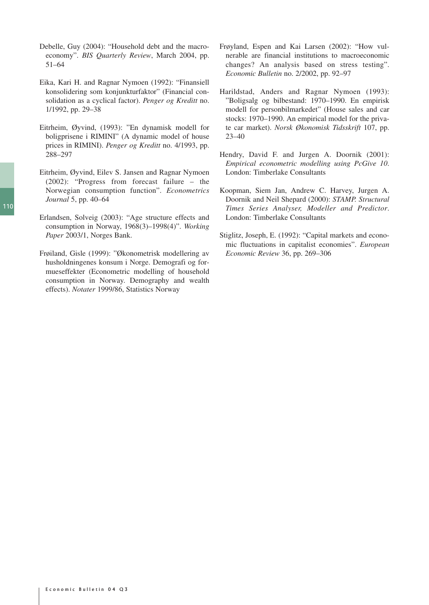- Debelle, Guy (2004): "Household debt and the macroeconomy". *BIS Quarterly Review*, March 2004, pp. 51–64
- Eika, Kari H. and Ragnar Nymoen (1992): "Finansiell konsolidering som konjunkturfaktor" (Financial consolidation as a cyclical factor). *Penger og Kreditt* no. 1/1992, pp. 29–38
- Eitrheim, Øyvind, (1993): "En dynamisk modell for boligprisene i RIMINI" (A dynamic model of house prices in RIMINI). *Penger og Kreditt* no. 4/1993, pp. 288–297
- Eitrheim, Øyvind, Eilev S. Jansen and Ragnar Nymoen (2002): "Progress from forecast failure – the Norwegian consumption function". *Econometrics Journal* 5, pp. 40–64
- Erlandsen, Solveig (2003): "Age structure effects and consumption in Norway, 1968(3)–1998(4)". *Working Paper* 2003/1, Norges Bank.
- Frøiland, Gisle (1999): "Økonometrisk modellering av husholdningenes konsum i Norge. Demografi og formueseffekter (Econometric modelling of household consumption in Norway. Demography and wealth effects). *Notater* 1999/86, Statistics Norway
- Frøyland, Espen and Kai Larsen (2002): "How vulnerable are financial institutions to macroeconomic changes? An analysis based on stress testing". *Economic Bulletin* no. 2/2002, pp. 92–97
- Harildstad, Anders and Ragnar Nymoen (1993): "Boligsalg og bilbestand: 1970–1990. En empirisk modell for personbilmarkedet" (House sales and car stocks: 1970–1990. An empirical model for the private car market). *Norsk Økonomisk Tidsskrift* 107, pp. 23–40
- Hendry, David F. and Jurgen A. Doornik (2001): *Empirical econometric modelling using PcGive 10*. London: Timberlake Consultants
- Koopman, Siem Jan, Andrew C. Harvey, Jurgen A. Doornik and Neil Shepard (2000): *STAMP. Structural Times Series Analyser, Modeller and Predictor*. London: Timberlake Consultants
- Stiglitz, Joseph, E. (1992): "Capital markets and economic fluctuations in capitalist economies". *European Economic Review* 36, pp. 269–306